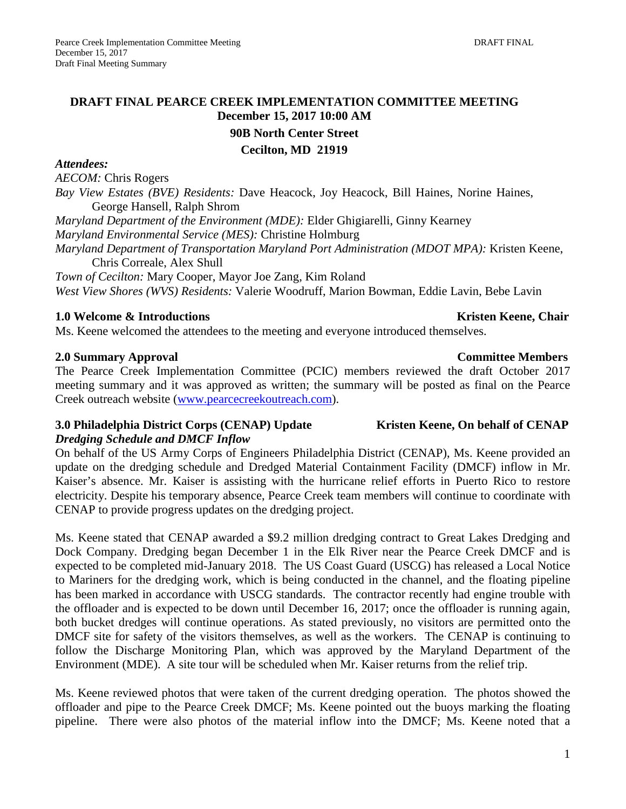# **DRAFT FINAL PEARCE CREEK IMPLEMENTATION COMMITTEE MEETING December 15, 2017 10:00 AM**

**90B North Center Street**

**Cecilton, MD 21919**

#### *Attendees:*

*AECOM:* Chris Rogers

*Bay View Estates (BVE) Residents:* Dave Heacock, Joy Heacock, Bill Haines, Norine Haines, George Hansell, Ralph Shrom

*Maryland Department of the Environment (MDE):* Elder Ghigiarelli, Ginny Kearney

*Maryland Environmental Service (MES):* Christine Holmburg

*Maryland Department of Transportation Maryland Port Administration (MDOT MPA):* Kristen Keene, Chris Correale, Alex Shull

*Town of Cecilton:* Mary Cooper, Mayor Joe Zang, Kim Roland *West View Shores (WVS) Residents:* Valerie Woodruff, Marion Bowman, Eddie Lavin, Bebe Lavin

# **1.0 Welcome & Introductions**  $\bullet$  **Kristen Keene, Chair <b>Kristen Keene**, Chair **Kristen Keene**, Chair

Ms. Keene welcomed the attendees to the meeting and everyone introduced themselves.

# **2.0 Summary Approval Committee Members**

The Pearce Creek Implementation Committee (PCIC) members reviewed the draft October 2017 meeting summary and it was approved as written; the summary will be posted as final on the Pearce Creek outreach website [\(www.pearcecreekoutreach.com\)](http://www.pearcecreekoutreach.com/).

#### **3.0** Philadelphia District Corps (CENAP) Update Kristen Keene, On behalf of CENAP *Dredging Schedule and DMCF Inflow*

On behalf of the US Army Corps of Engineers Philadelphia District (CENAP), Ms. Keene provided an update on the dredging schedule and Dredged Material Containment Facility (DMCF) inflow in Mr. Kaiser's absence. Mr. Kaiser is assisting with the hurricane relief efforts in Puerto Rico to restore electricity. Despite his temporary absence, Pearce Creek team members will continue to coordinate with CENAP to provide progress updates on the dredging project.

Ms. Keene stated that CENAP awarded a \$9.2 million dredging contract to Great Lakes Dredging and Dock Company. Dredging began December 1 in the Elk River near the Pearce Creek DMCF and is expected to be completed mid-January 2018. The US Coast Guard (USCG) has released a Local Notice to Mariners for the dredging work, which is being conducted in the channel, and the floating pipeline has been marked in accordance with USCG standards. The contractor recently had engine trouble with the offloader and is expected to be down until December 16, 2017; once the offloader is running again, both bucket dredges will continue operations. As stated previously, no visitors are permitted onto the DMCF site for safety of the visitors themselves, as well as the workers. The CENAP is continuing to follow the Discharge Monitoring Plan, which was approved by the Maryland Department of the Environment (MDE). A site tour will be scheduled when Mr. Kaiser returns from the relief trip.

Ms. Keene reviewed photos that were taken of the current dredging operation. The photos showed the offloader and pipe to the Pearce Creek DMCF; Ms. Keene pointed out the buoys marking the floating pipeline. There were also photos of the material inflow into the DMCF; Ms. Keene noted that a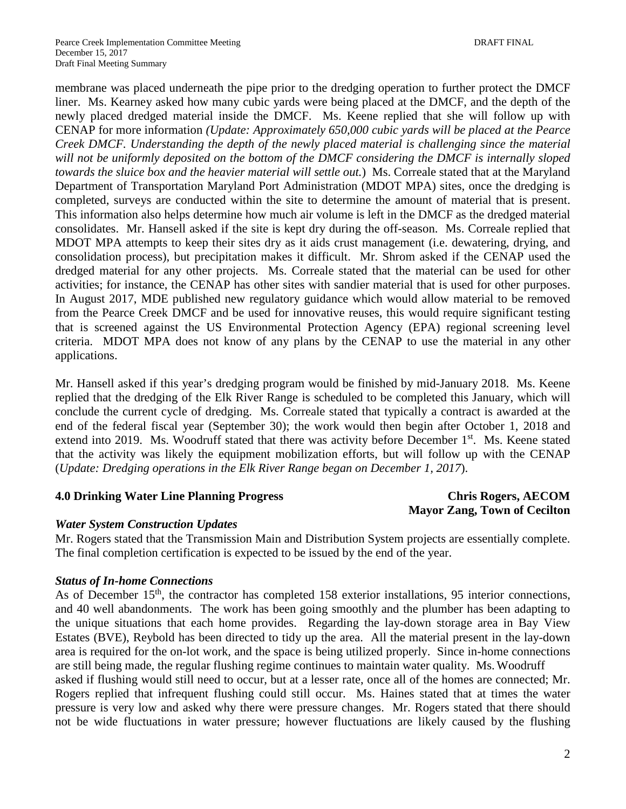membrane was placed underneath the pipe prior to the dredging operation to further protect the DMCF liner. Ms. Kearney asked how many cubic yards were being placed at the DMCF, and the depth of the newly placed dredged material inside the DMCF. Ms. Keene replied that she will follow up with CENAP for more information *(Update: Approximately 650,000 cubic yards will be placed at the Pearce Creek DMCF. Understanding the depth of the newly placed material is challenging since the material will not be uniformly deposited on the bottom of the DMCF considering the DMCF is internally sloped towards the sluice box and the heavier material will settle out.*) Ms. Correale stated that at the Maryland Department of Transportation Maryland Port Administration (MDOT MPA) sites, once the dredging is completed, surveys are conducted within the site to determine the amount of material that is present. This information also helps determine how much air volume is left in the DMCF as the dredged material consolidates. Mr. Hansell asked if the site is kept dry during the off-season. Ms. Correale replied that MDOT MPA attempts to keep their sites dry as it aids crust management (i.e. dewatering, drying, and consolidation process), but precipitation makes it difficult. Mr. Shrom asked if the CENAP used the dredged material for any other projects. Ms. Correale stated that the material can be used for other activities; for instance, the CENAP has other sites with sandier material that is used for other purposes. In August 2017, MDE published new regulatory guidance which would allow material to be removed from the Pearce Creek DMCF and be used for innovative reuses, this would require significant testing that is screened against the US Environmental Protection Agency (EPA) regional screening level criteria. MDOT MPA does not know of any plans by the CENAP to use the material in any other applications.

Mr. Hansell asked if this year's dredging program would be finished by mid-January 2018. Ms. Keene replied that the dredging of the Elk River Range is scheduled to be completed this January, which will conclude the current cycle of dredging. Ms. Correale stated that typically a contract is awarded at the end of the federal fiscal year (September 30); the work would then begin after October 1, 2018 and extend into 2019. Ms. Woodruff stated that there was activity before December 1<sup>st</sup>. Ms. Keene stated that the activity was likely the equipment mobilization efforts, but will follow up with the CENAP (*Update: Dredging operations in the Elk River Range began on December 1, 2017*).

#### **4.0 Drinking Water Line Planning Progress Chris Rogers, AECOM**

# **Mayor Zang, Town of Cecilton**

#### *Water System Construction Updates*

Mr. Rogers stated that the Transmission Main and Distribution System projects are essentially complete. The final completion certification is expected to be issued by the end of the year.

#### *Status of In-home Connections*

As of December  $15<sup>th</sup>$ , the contractor has completed 158 exterior installations, 95 interior connections, and 40 well abandonments. The work has been going smoothly and the plumber has been adapting to the unique situations that each home provides. Regarding the lay-down storage area in Bay View Estates (BVE), Reybold has been directed to tidy up the area. All the material present in the lay-down area is required for the on-lot work, and the space is being utilized properly. Since in-home connections are still being made, the regular flushing regime continues to maintain water quality. Ms. Woodruff asked if flushing would still need to occur, but at a lesser rate, once all of the homes are connected; Mr. Rogers replied that infrequent flushing could still occur. Ms. Haines stated that at times the water pressure is very low and asked why there were pressure changes. Mr. Rogers stated that there should not be wide fluctuations in water pressure; however fluctuations are likely caused by the flushing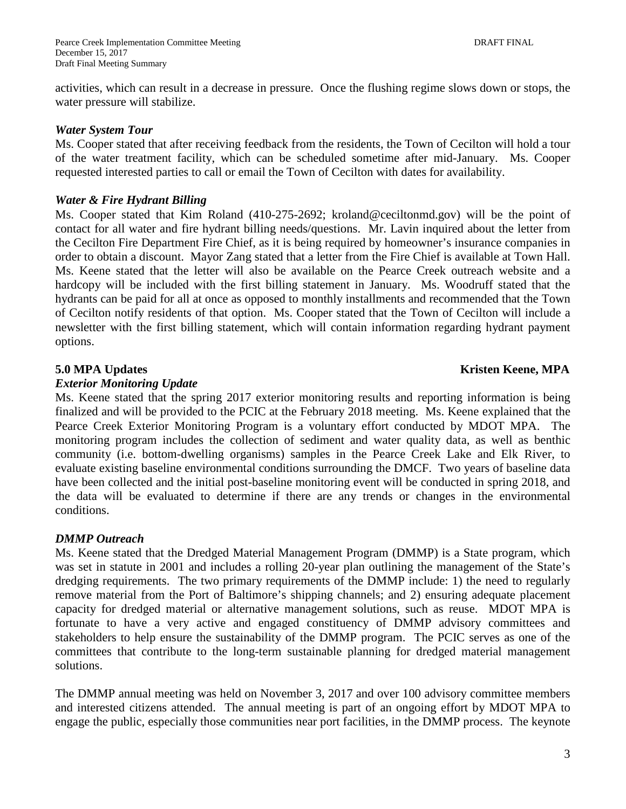activities, which can result in a decrease in pressure. Once the flushing regime slows down or stops, the water pressure will stabilize.

#### *Water System Tour*

Ms. Cooper stated that after receiving feedback from the residents, the Town of Cecilton will hold a tour of the water treatment facility, which can be scheduled sometime after mid-January. Ms. Cooper requested interested parties to call or email the Town of Cecilton with dates for availability.

#### *Water & Fire Hydrant Billing*

Ms. Cooper stated that Kim Roland (410-275-2692; kroland@ceciltonmd.gov) will be the point of contact for all water and fire hydrant billing needs/questions. Mr. Lavin inquired about the letter from the Cecilton Fire Department Fire Chief, as it is being required by homeowner's insurance companies in order to obtain a discount. Mayor Zang stated that a letter from the Fire Chief is available at Town Hall. Ms. Keene stated that the letter will also be available on the Pearce Creek outreach website and a hardcopy will be included with the first billing statement in January. Ms. Woodruff stated that the hydrants can be paid for all at once as opposed to monthly installments and recommended that the Town of Cecilton notify residents of that option. Ms. Cooper stated that the Town of Cecilton will include a newsletter with the first billing statement, which will contain information regarding hydrant payment options.

### **5.0 MPA Updates Kristen Keene, MPA**

#### *Exterior Monitoring Update*

Ms. Keene stated that the spring 2017 exterior monitoring results and reporting information is being finalized and will be provided to the PCIC at the February 2018 meeting. Ms. Keene explained that the Pearce Creek Exterior Monitoring Program is a voluntary effort conducted by MDOT MPA. The monitoring program includes the collection of sediment and water quality data, as well as benthic community (i.e. bottom-dwelling organisms) samples in the Pearce Creek Lake and Elk River, to evaluate existing baseline environmental conditions surrounding the DMCF. Two years of baseline data have been collected and the initial post-baseline monitoring event will be conducted in spring 2018, and the data will be evaluated to determine if there are any trends or changes in the environmental conditions.

#### *DMMP Outreach*

Ms. Keene stated that the Dredged Material Management Program (DMMP) is a State program, which was set in statute in 2001 and includes a rolling 20-year plan outlining the management of the State's dredging requirements. The two primary requirements of the DMMP include: 1) the need to regularly remove material from the Port of Baltimore's shipping channels; and 2) ensuring adequate placement capacity for dredged material or alternative management solutions, such as reuse. MDOT MPA is fortunate to have a very active and engaged constituency of DMMP advisory committees and stakeholders to help ensure the sustainability of the DMMP program. The PCIC serves as one of the committees that contribute to the long-term sustainable planning for dredged material management solutions.

The DMMP annual meeting was held on November 3, 2017 and over 100 advisory committee members and interested citizens attended. The annual meeting is part of an ongoing effort by MDOT MPA to engage the public, especially those communities near port facilities, in the DMMP process. The keynote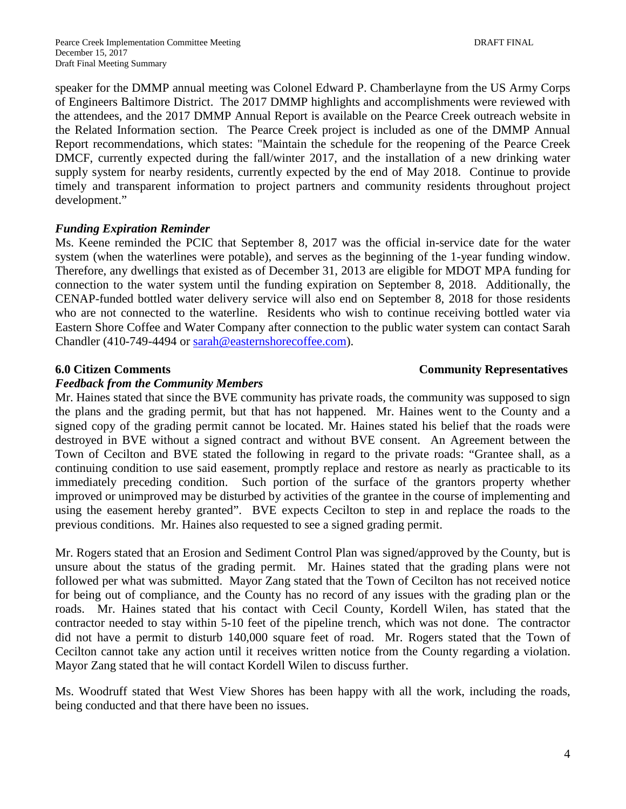speaker for the DMMP annual meeting was Colonel Edward P. Chamberlayne from the US Army Corps of Engineers Baltimore District. The 2017 DMMP highlights and accomplishments were reviewed with the attendees, and the 2017 DMMP Annual Report is available on the Pearce Creek outreach website in the Related Information section. The Pearce Creek project is included as one of the DMMP Annual Report recommendations, which states: "Maintain the schedule for the reopening of the Pearce Creek DMCF, currently expected during the fall/winter 2017, and the installation of a new drinking water supply system for nearby residents, currently expected by the end of May 2018. Continue to provide timely and transparent information to project partners and community residents throughout project development."

### *Funding Expiration Reminder*

Ms. Keene reminded the PCIC that September 8, 2017 was the official in-service date for the water system (when the waterlines were potable), and serves as the beginning of the 1-year funding window. Therefore, any dwellings that existed as of December 31, 2013 are eligible for MDOT MPA funding for connection to the water system until the funding expiration on September 8, 2018. Additionally, the CENAP-funded bottled water delivery service will also end on September 8, 2018 for those residents who are not connected to the waterline. Residents who wish to continue receiving bottled water via Eastern Shore Coffee and Water Company after connection to the public water system can contact Sarah Chandler (410-749-4494 or [sarah@easternshorecoffee.com\)](mailto:sarah@easternshorecoffee.com).

### **6.0 Citizen Comments Community Representatives**

#### *Feedback from the Community Members*

### Mr. Haines stated that since the BVE community has private roads, the community was supposed to sign the plans and the grading permit, but that has not happened. Mr. Haines went to the County and a signed copy of the grading permit cannot be located. Mr. Haines stated his belief that the roads were destroyed in BVE without a signed contract and without BVE consent. An Agreement between the Town of Cecilton and BVE stated the following in regard to the private roads: "Grantee shall, as a continuing condition to use said easement, promptly replace and restore as nearly as practicable to its immediately preceding condition. Such portion of the surface of the grantors property whether improved or unimproved may be disturbed by activities of the grantee in the course of implementing and using the easement hereby granted". BVE expects Cecilton to step in and replace the roads to the previous conditions. Mr. Haines also requested to see a signed grading permit.

Mr. Rogers stated that an Erosion and Sediment Control Plan was signed/approved by the County, but is unsure about the status of the grading permit. Mr. Haines stated that the grading plans were not followed per what was submitted. Mayor Zang stated that the Town of Cecilton has not received notice for being out of compliance, and the County has no record of any issues with the grading plan or the roads. Mr. Haines stated that his contact with Cecil County, Kordell Wilen, has stated that the contractor needed to stay within 5-10 feet of the pipeline trench, which was not done. The contractor did not have a permit to disturb 140,000 square feet of road. Mr. Rogers stated that the Town of Cecilton cannot take any action until it receives written notice from the County regarding a violation. Mayor Zang stated that he will contact Kordell Wilen to discuss further.

Ms. Woodruff stated that West View Shores has been happy with all the work, including the roads, being conducted and that there have been no issues.